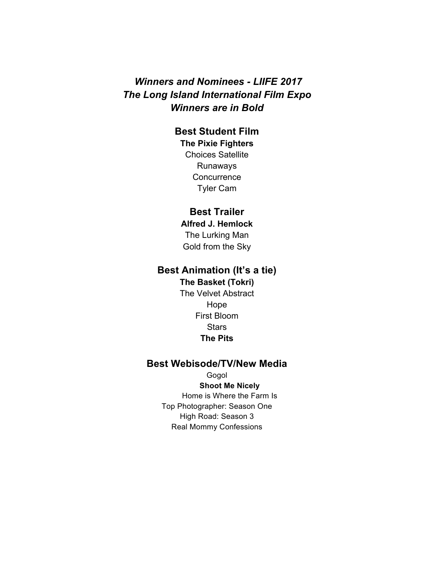# *Winners and Nominees - LIIFE 2017 The Long Island International Film Expo Winners are in Bold*

## **Best Student Film**

**The Pixie Fighters** Choices Satellite Runaways **Concurrence** Tyler Cam

### **Best Trailer**

**Alfred J. Hemlock** The Lurking Man Gold from the Sky

# **Best Animation (It's a tie)**

## **The Basket (Tokri)**

The Velvet Abstract Hope First Bloom **Stars The Pits**

## **Best Webisode/TV/New Media**

Gogol **Shoot Me Nicely** Home is Where the Farm Is Top Photographer: Season One High Road: Season 3 Real Mommy Confessions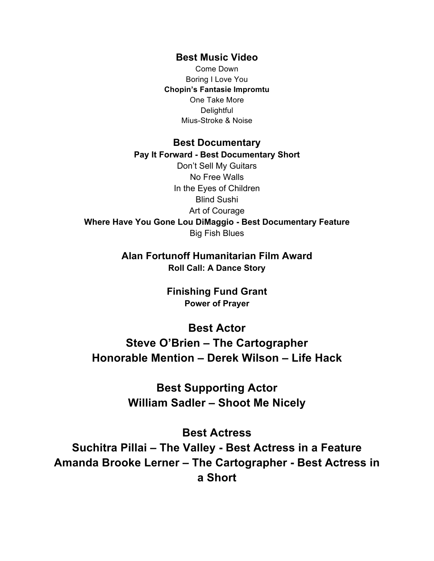### **Best Music Video**

Come Down Boring I Love You **Chopin's Fantasie Impromtu** One Take More **Delightful** Mius-Stroke & Noise

### **Best Documentary**

#### **Pay It Forward - Best Documentary Short**

Don't Sell My Guitars No Free Walls In the Eyes of Children Blind Sushi Art of Courage **Where Have You Gone Lou DiMaggio - Best Documentary Feature** Big Fish Blues

> **Alan Fortunoff Humanitarian Film Award Roll Call: A Dance Story**

> > **Finishing Fund Grant Power of Prayer**

### **Best Actor**

**Steve O'Brien – The Cartographer Honorable Mention – Derek Wilson – Life Hack**

> **Best Supporting Actor William Sadler – Shoot Me Nicely**

**Best Actress Suchitra Pillai – The Valley - Best Actress in a Feature Amanda Brooke Lerner – The Cartographer - Best Actress in a Short**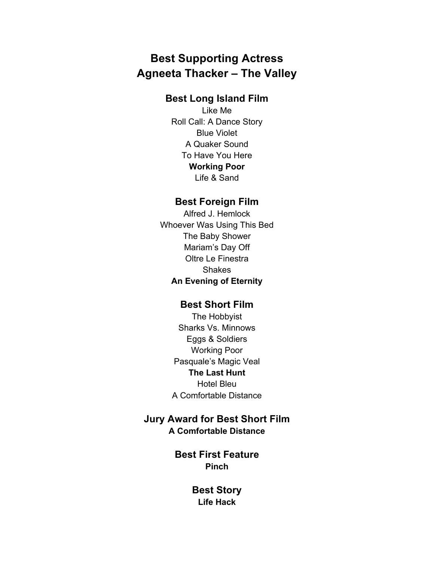# **Best Supporting Actress Agneeta Thacker – The Valley**

# **Best Long Island Film**

Like Me Roll Call: A Dance Story Blue Violet A Quaker Sound To Have You Here **Working Poor** Life & Sand

## **Best Foreign Film**

Alfred J. Hemlock Whoever Was Using This Bed The Baby Shower Mariam's Day Off Oltre Le Finestra Shakes **An Evening of Eternity**

### **Best Short Film**

The Hobbyist Sharks Vs. Minnows Eggs & Soldiers Working Poor Pasquale's Magic Veal **The Last Hunt** Hotel Bleu A Comfortable Distance

# **Jury Award for Best Short Film**

**A Comfortable Distance**

**Best First Feature Pinch**

> **Best Story Life Hack**